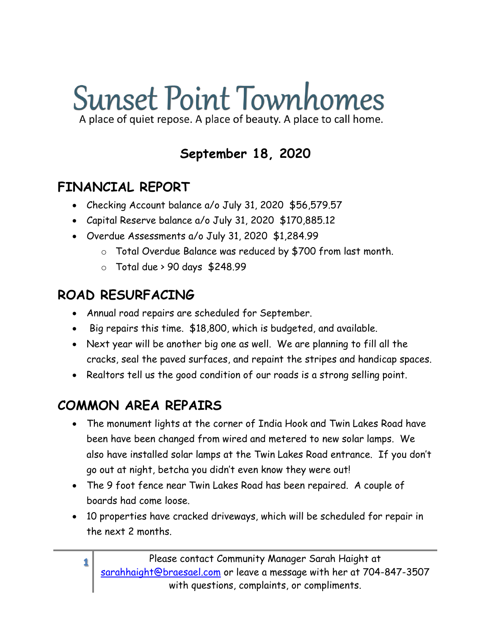# **Sunset Point Townhomes**

A place of quiet repose. A place of beauty. A place to call home.

#### **September 18, 2020**

#### **FINANCIAL REPORT**

- Checking Account balance a/o July 31, 2020 \$56,579.57
- Capital Reserve balance a/o July 31, 2020 \$170,885.12
- Overdue Assessments a/o July 31, 2020 \$1,284.99
	- o Total Overdue Balance was reduced by \$700 from last month.
	- $\circ$  Total due > 90 days \$248.99

## **ROAD RESURFACING**

- Annual road repairs are scheduled for September.
- Big repairs this time. \$18,800, which is budgeted, and available.
- Next year will be another big one as well. We are planning to fill all the cracks, seal the paved surfaces, and repaint the stripes and handicap spaces.
- Realtors tell us the good condition of our roads is a strong selling point.

# **COMMON AREA REPAIRS**

**1**

- The monument lights at the corner of India Hook and Twin Lakes Road have been have been changed from wired and metered to new solar lamps. We also have installed solar lamps at the Twin Lakes Road entrance. If you don't go out at night, betcha you didn't even know they were out!
- The 9 foot fence near Twin Lakes Road has been repaired. A couple of boards had come loose.
- 10 properties have cracked driveways, which will be scheduled for repair in the next 2 months.

Please contact Community Manager Sarah Haight at [sarahhaight@braesael.com](mailto:sarahhaight@braesael.com) or leave a message with her at 704-847-3507 with questions, complaints, or compliments.